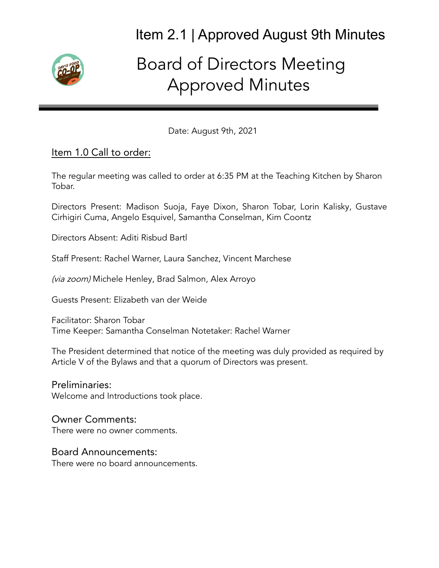

# Board of Directors Meeting Approved Minutes

Date: August 9th, 2021

#### Item 1.0 Call to order:

The regular meeting was called to order at 6:35 PM at the Teaching Kitchen by Sharon Tobar.

Directors Present: Madison Suoja, Faye Dixon, Sharon Tobar, Lorin Kalisky, Gustave Cirhigiri Cuma, Angelo Esquivel, Samantha Conselman, Kim Coontz

Directors Absent: Aditi Risbud Bartl

Staff Present: Rachel Warner, Laura Sanchez, Vincent Marchese

(via zoom) Michele Henley, Brad Salmon, Alex Arroyo

Guests Present: Elizabeth van der Weide

Facilitator: Sharon Tobar Time Keeper: Samantha Conselman Notetaker: Rachel Warner

The President determined that notice of the meeting was duly provided as required by Article V of the Bylaws and that a quorum of Directors was present.

#### Preliminaries:

Welcome and Introductions took place.

#### Owner Comments:

There were no owner comments.

#### Board Announcements:

There were no board announcements.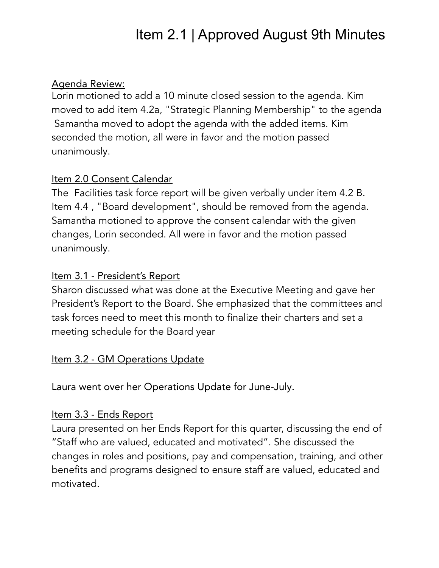#### Agenda Review:

Lorin motioned to add a 10 minute closed session to the agenda. Kim moved to add item 4.2a, "Strategic Planning Membership" to the agenda Samantha moved to adopt the agenda with the added items. Kim seconded the motion, all were in favor and the motion passed unanimously.

#### Item 2.0 Consent Calendar

The Facilities task force report will be given verbally under item 4.2 B. Item 4.4 , "Board development", should be removed from the agenda. Samantha motioned to approve the consent calendar with the given changes, Lorin seconded. All were in favor and the motion passed unanimously.

#### Item 3.1 - President's Report

Sharon discussed what was done at the Executive Meeting and gave her President's Report to the Board. She emphasized that the committees and task forces need to meet this month to finalize their charters and set a meeting schedule for the Board year

# Item 3.2 - GM Operations Update

Laura went over her Operations Update for June-July.

#### Item 3.3 - Ends Report

Laura presented on her Ends Report for this quarter, discussing the end of "Staff who are valued, educated and motivated". She discussed the changes in roles and positions, pay and compensation, training, and other benefits and programs designed to ensure staff are valued, educated and motivated.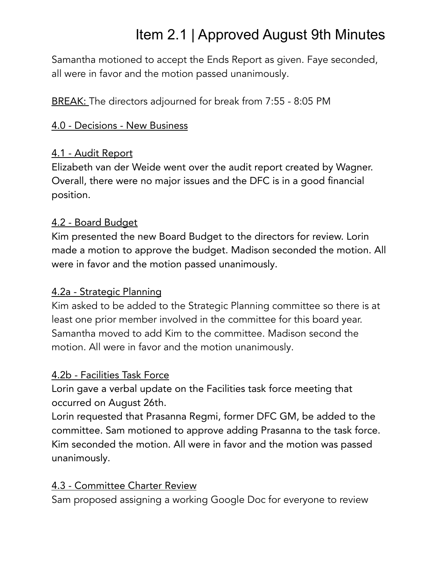Samantha motioned to accept the Ends Report as given. Faye seconded, all were in favor and the motion passed unanimously.

BREAK: The directors adjourned for break from 7:55 - 8:05 PM

### 4.0 - Decisions - New Business

#### 4.1 - Audit Report

Elizabeth van der Weide went over the audit report created by Wagner. Overall, there were no major issues and the DFC is in a good financial position.

#### 4.2 - Board Budget

Kim presented the new Board Budget to the directors for review. Lorin made a motion to approve the budget. Madison seconded the motion. All were in favor and the motion passed unanimously.

# 4.2a - Strategic Planning

Kim asked to be added to the Strategic Planning committee so there is at least one prior member involved in the committee for this board year. Samantha moved to add Kim to the committee. Madison second the motion. All were in favor and the motion unanimously.

# 4.2b - Facilities Task Force

Lorin gave a verbal update on the Facilities task force meeting that occurred on August 26th.

Lorin requested that Prasanna Regmi, former DFC GM, be added to the committee. Sam motioned to approve adding Prasanna to the task force. Kim seconded the motion. All were in favor and the motion was passed unanimously.

# 4.3 - Committee Charter Review

Sam proposed assigning a working Google Doc for everyone to review